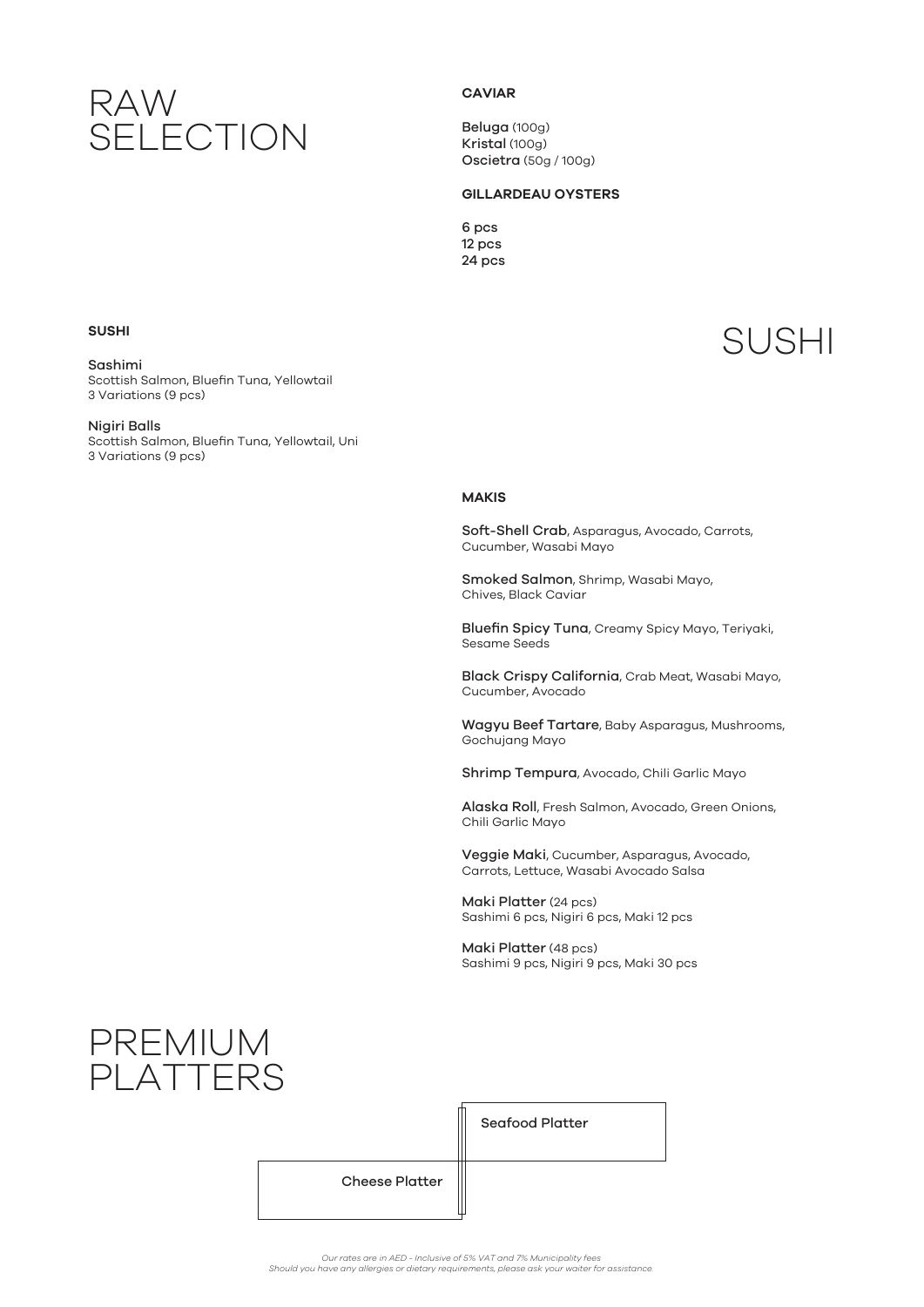## RAW SELECTION

### **CAVIAR**

Beluga (100g) Kristal (100g) Oscietra (50g / 100g)

### **GILLARDEAU OYSTERS**

6 pcs 12 pcs 24 pcs

Sashimi Scottish Salmon, Bluefin Tuna, Yellowtail 3 Variations (9 pcs)

Nigiri Balls

Scottish Salmon, Bluefin Tuna, Yellowtail, Uni 3 Variations (9 pcs)

# SUSHI **SUSHI**

#### **MAKIS**

Soft-Shell Crab, Asparagus, Avocado, Carrots, Cucumber, Wasabi Mayo

Smoked Salmon, Shrimp, Wasabi Mayo, Chives, Black Caviar

Bluefin Spicy Tuna, Creamy Spicy Mayo, Teriyaki, Sesame Seeds

Black Crispy California, Crab Meat, Wasabi Mayo, Cucumber, Avocado

Wagyu Beef Tartare, Baby Asparagus, Mushrooms, Gochujang Mayo

Shrimp Tempura, Avocado, Chili Garlic Mayo

Alaska Roll, Fresh Salmon, Avocado, Green Onions, Chili Garlic Mayo

Veggie Maki, Cucumber, Asparagus, Avocado, Carrots, Lettuce, Wasabi Avocado Salsa

Maki Platter (24 pcs) Sashimi 6 pcs, Nigiri 6 pcs, Maki 12 pcs

Maki Platter (48 pcs) Sashimi 9 pcs, Nigiri 9 pcs, Maki 30 pcs

### PREMIUM PLATTERS

Seafood Platter

Cheese Platter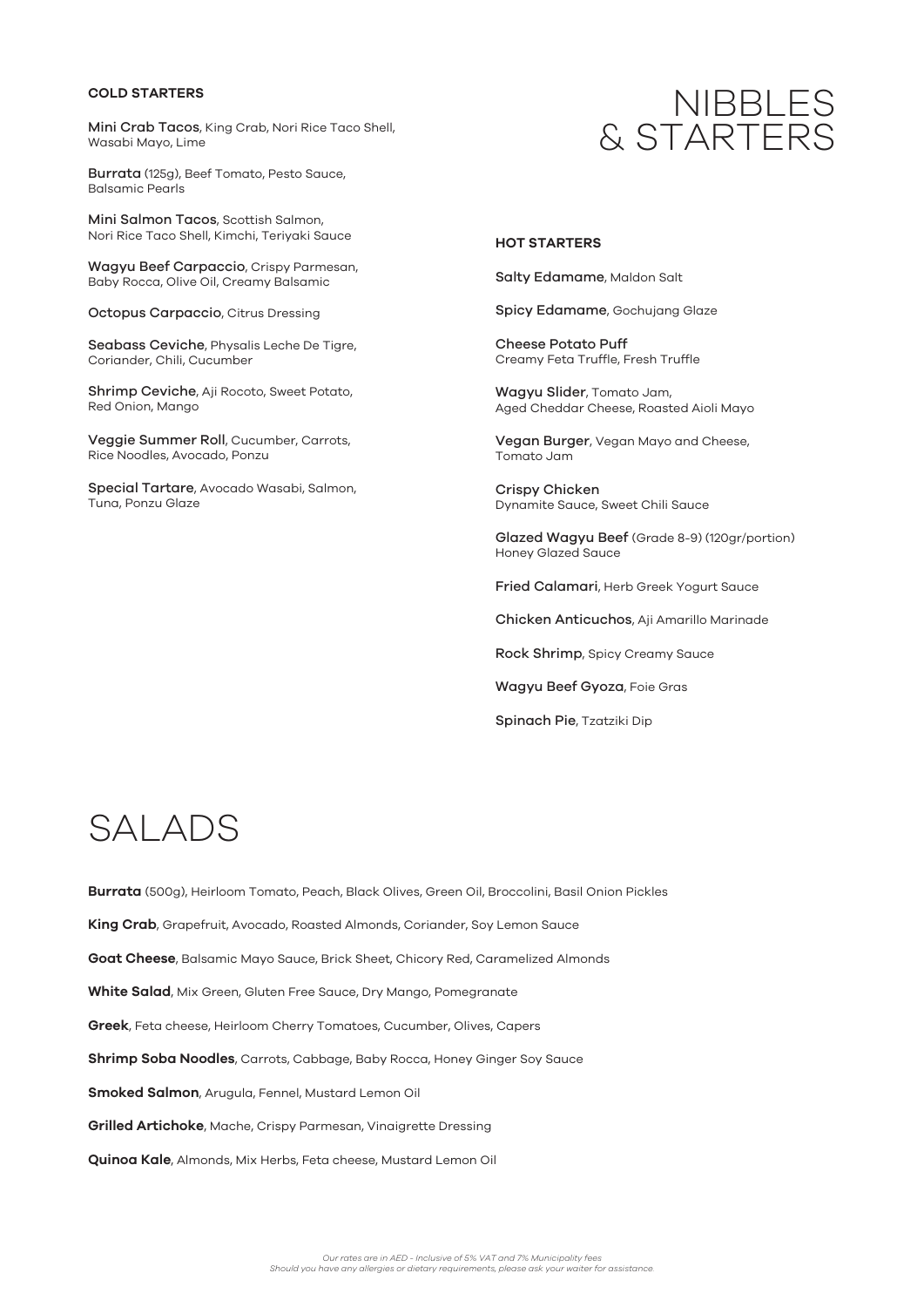### **COLD STARTERS**

Mini Crab Tacos, King Crab, Nori Rice Taco Shell, Wasabi Mayo, Lime

Burrata (125g), Beef Tomato, Pesto Sauce, Balsamic Pearls

Mini Salmon Tacos, Scottish Salmon, Nori Rice Taco Shell, Kimchi, Teriyaki Sauce

Wagyu Beef Carpaccio, Crispy Parmesan, Baby Rocca, Olive Oil, Creamy Balsamic

Octopus Carpaccio, Citrus Dressing

Seabass Ceviche, Physalis Leche De Tigre, Coriander, Chili, Cucumber

Shrimp Ceviche, Aji Rocoto, Sweet Potato, Red Onion, Mango

Veggie Summer Roll, Cucumber, Carrots, Rice Noodles, Avocado, Ponzu

Special Tartare, Avocado Wasabi, Salmon, Tuna, Ponzu Glaze

### NIBBLES & STARTERS

#### **HOT STARTERS**

Salty Edamame, Maldon Salt

Spicy Edamame, Gochujang Glaze

Cheese Potato Puff Creamy Feta Truffle, Fresh Truffle

Wagyu Slider, Tomato Jam, Aged Cheddar Cheese, Roasted Aioli Mayo

Vegan Burger, Vegan Mayo and Cheese, Tomato Jam

Crispy Chicken Dynamite Sauce, Sweet Chili Sauce

Glazed Wagyu Beef (Grade 8-9) (120gr/portion) Honey Glazed Sauce

Fried Calamari, Herb Greek Yogurt Sauce

Chicken Anticuchos, Aji Amarillo Marinade

Rock Shrimp, Spicy Creamy Sauce

Wagyu Beef Gyoza, Foie Gras

Spinach Pie, Tzatziki Dip

# SALADS

**Burrata** (500g), Heirloom Tomato, Peach, Black Olives, Green Oil, Broccolini, Basil Onion Pickles **King Crab**, Grapefruit, Avocado, Roasted Almonds, Coriander, Soy Lemon Sauce **Goat Cheese**, Balsamic Mayo Sauce, Brick Sheet, Chicory Red, Caramelized Almonds **White Salad**, Mix Green, Gluten Free Sauce, Dry Mango, Pomegranate **Greek**, Feta cheese, Heirloom Cherry Tomatoes, Cucumber, Olives, Capers **Shrimp Soba Noodles**, Carrots, Cabbage, Baby Rocca, Honey Ginger Soy Sauce **Smoked Salmon**, Arugula, Fennel, Mustard Lemon Oil **Grilled Artichoke**, Mache, Crispy Parmesan, Vinaigrette Dressing

**Quinoa Kale**, Almonds, Mix Herbs, Feta cheese, Mustard Lemon Oil